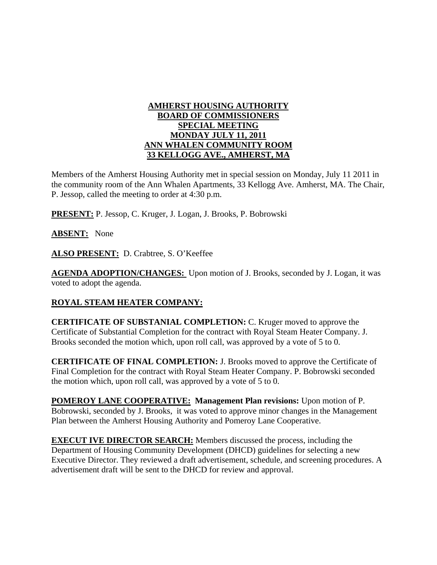## **AMHERST HOUSING AUTHORITY BOARD OF COMMISSIONERS SPECIAL MEETING MONDAY JULY 11, 2011 ANN WHALEN COMMUNITY ROOM 33 KELLOGG AVE., AMHERST, MA**

Members of the Amherst Housing Authority met in special session on Monday, July 11 2011 in the community room of the Ann Whalen Apartments, 33 Kellogg Ave. Amherst, MA. The Chair, P. Jessop, called the meeting to order at 4:30 p.m.

**PRESENT:** P. Jessop, C. Kruger, J. Logan, J. Brooks, P. Bobrowski

**ABSENT:** None

**ALSO PRESENT:** D. Crabtree, S. O'Keeffee

**AGENDA ADOPTION/CHANGES:** Upon motion of J. Brooks, seconded by J. Logan, it was voted to adopt the agenda.

## **ROYAL STEAM HEATER COMPANY:**

**CERTIFICATE OF SUBSTANIAL COMPLETION:** C. Kruger moved to approve the Certificate of Substantial Completion for the contract with Royal Steam Heater Company. J. Brooks seconded the motion which, upon roll call, was approved by a vote of 5 to 0.

**CERTIFICATE OF FINAL COMPLETION:** J. Brooks moved to approve the Certificate of Final Completion for the contract with Royal Steam Heater Company. P. Bobrowski seconded the motion which, upon roll call, was approved by a vote of 5 to 0.

**POMEROY LANE COOPERATIVE: Management Plan revisions:** Upon motion of P. Bobrowski, seconded by J. Brooks, it was voted to approve minor changes in the Management Plan between the Amherst Housing Authority and Pomeroy Lane Cooperative.

**EXECUT IVE DIRECTOR SEARCH:** Members discussed the process, including the Department of Housing Community Development (DHCD) guidelines for selecting a new Executive Director. They reviewed a draft advertisement, schedule, and screening procedures. A advertisement draft will be sent to the DHCD for review and approval.